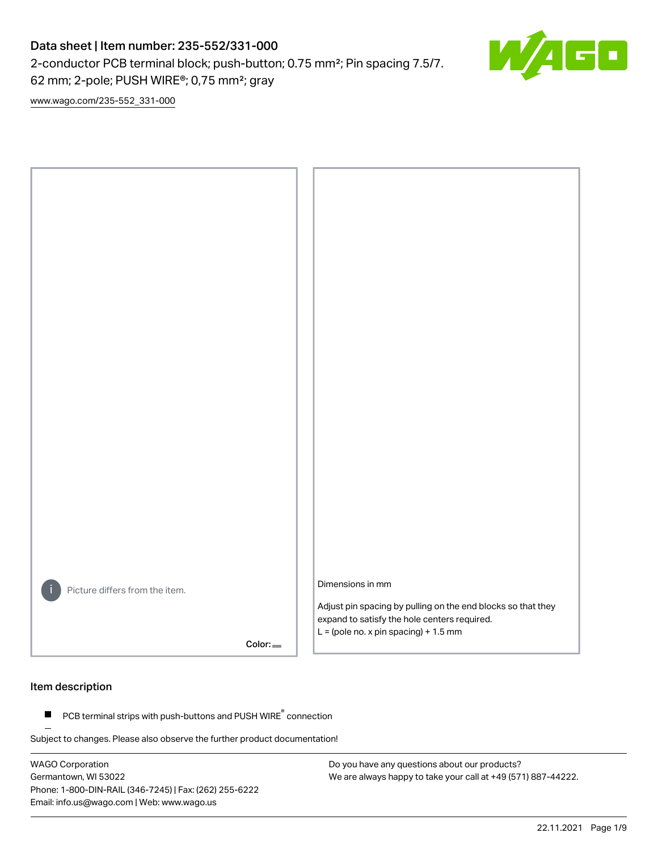2-conductor PCB terminal block; push-button; 0.75 mm²; Pin spacing 7.5/7.

62 mm; 2-pole; PUSH WIRE®; 0,75 mm²; gray

[www.wago.com/235-552\\_331-000](http://www.wago.com/235-552_331-000)



#### Item description

PCB terminal strips with push-buttons and PUSH WIRE<sup>®</sup> connection  $\blacksquare$ 

Subject to changes. Please also observe the further product documentation!

WAGO Corporation Germantown, WI 53022 Phone: 1-800-DIN-RAIL (346-7245) | Fax: (262) 255-6222 Email: info.us@wago.com | Web: www.wago.us

Do you have any questions about our products? We are always happy to take your call at +49 (571) 887-44222.

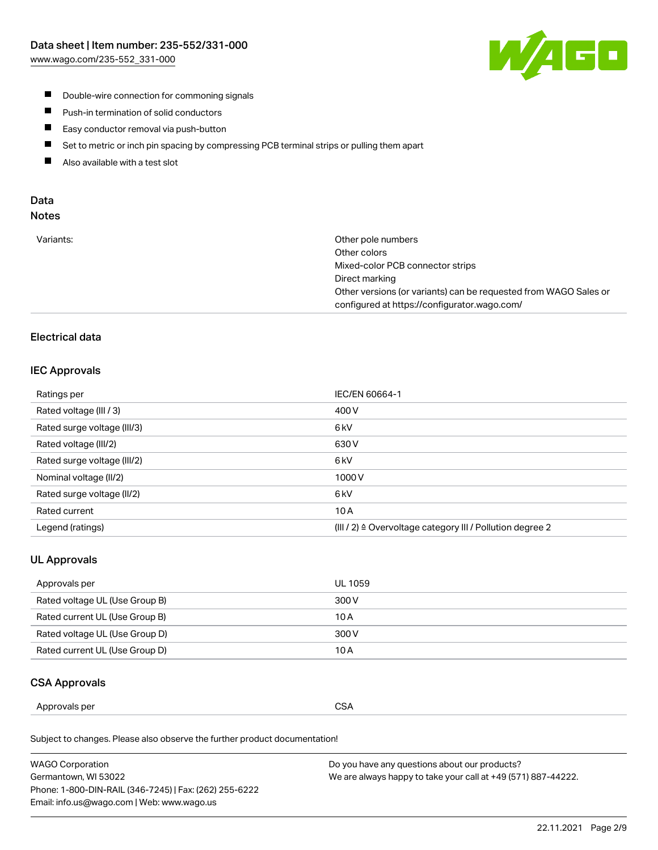

- **Double-wire connection for commoning signals**
- $\blacksquare$ Push-in termination of solid conductors
- Easy conductor removal via push-button  $\blacksquare$
- $\blacksquare$ Set to metric or inch pin spacing by compressing PCB terminal strips or pulling them apart
- $\blacksquare$ Also available with a test slot

#### Data Notes

| Variants: | Other pole numbers                                               |
|-----------|------------------------------------------------------------------|
|           | Other colors                                                     |
|           | Mixed-color PCB connector strips                                 |
|           | Direct marking                                                   |
|           | Other versions (or variants) can be requested from WAGO Sales or |
|           | configured at https://configurator.wago.com/                     |

## Electrical data

#### IEC Approvals

| Ratings per                 | IEC/EN 60664-1                                                        |
|-----------------------------|-----------------------------------------------------------------------|
| Rated voltage (III / 3)     | 400 V                                                                 |
| Rated surge voltage (III/3) | 6 <sub>kV</sub>                                                       |
| Rated voltage (III/2)       | 630 V                                                                 |
| Rated surge voltage (III/2) | 6 kV                                                                  |
| Nominal voltage (II/2)      | 1000V                                                                 |
| Rated surge voltage (II/2)  | 6 <sub>kV</sub>                                                       |
| Rated current               | 10A                                                                   |
| Legend (ratings)            | $(III / 2)$ $\triangle$ Overvoltage category III / Pollution degree 2 |

## UL Approvals

| Approvals per                  | UL 1059 |
|--------------------------------|---------|
| Rated voltage UL (Use Group B) | 300 V   |
| Rated current UL (Use Group B) | 10 A    |
| Rated voltage UL (Use Group D) | 300 V   |
| Rated current UL (Use Group D) | 10 A    |

#### CSA Approvals

| Approvals per | $\sim$ $\sim$<br>54<br>، ب<br>___ |
|---------------|-----------------------------------|
|               |                                   |

Subject to changes. Please also observe the further product documentation!

| WAGO Corporation                                       | Do you have any questions about our products?                 |
|--------------------------------------------------------|---------------------------------------------------------------|
| Germantown, WI 53022                                   | We are always happy to take your call at +49 (571) 887-44222. |
| Phone: 1-800-DIN-RAIL (346-7245)   Fax: (262) 255-6222 |                                                               |
| Email: info.us@wago.com   Web: www.wago.us             |                                                               |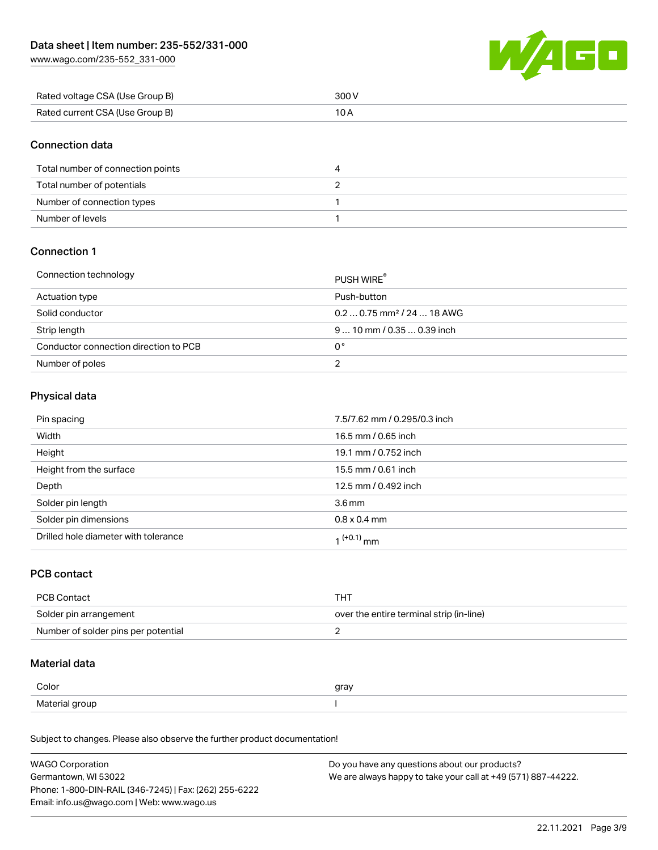[www.wago.com/235-552\\_331-000](http://www.wago.com/235-552_331-000)



| Rated voltage CSA (Use Group B) | 300 V |
|---------------------------------|-------|
| Rated current CSA (Use Group B) |       |

#### Connection data

| Total number of connection points |  |
|-----------------------------------|--|
| Total number of potentials        |  |
| Number of connection types        |  |
| Number of levels                  |  |

### Connection 1

#### Connection technology PUSH WIRE®

|                                       | PUSH WIRE                              |
|---------------------------------------|----------------------------------------|
| Actuation type                        | Push-button                            |
| Solid conductor                       | $0.20.75$ mm <sup>2</sup> / 24  18 AWG |
| Strip length                          | $910$ mm / 0.35  0.39 inch             |
| Conductor connection direction to PCB | 0°                                     |
| Number of poles                       |                                        |

## Physical data

| Pin spacing                          | 7.5/7.62 mm / 0.295/0.3 inch |
|--------------------------------------|------------------------------|
| Width                                | 16.5 mm / 0.65 inch          |
| Height                               | 19.1 mm / 0.752 inch         |
| Height from the surface              | 15.5 mm / 0.61 inch          |
| Depth                                | 12.5 mm / 0.492 inch         |
| Solder pin length                    | 3.6 <sub>mm</sub>            |
| Solder pin dimensions                | $0.8 \times 0.4$ mm          |
| Drilled hole diameter with tolerance | $1^{(+0.1)}$ mm              |

### PCB contact

| PCB Contact                         | тнт                                      |
|-------------------------------------|------------------------------------------|
| Solder pin arrangement              | over the entire terminal strip (in-line) |
| Number of solder pins per potential |                                          |

# Material data

| Color          | gray |
|----------------|------|
| Material group |      |

Subject to changes. Please also observe the further product documentation!

| <b>WAGO Corporation</b>                                | Do you have any questions about our products?                 |
|--------------------------------------------------------|---------------------------------------------------------------|
| Germantown, WI 53022                                   | We are always happy to take your call at +49 (571) 887-44222. |
| Phone: 1-800-DIN-RAIL (346-7245)   Fax: (262) 255-6222 |                                                               |
| Email: info.us@wago.com   Web: www.wago.us             |                                                               |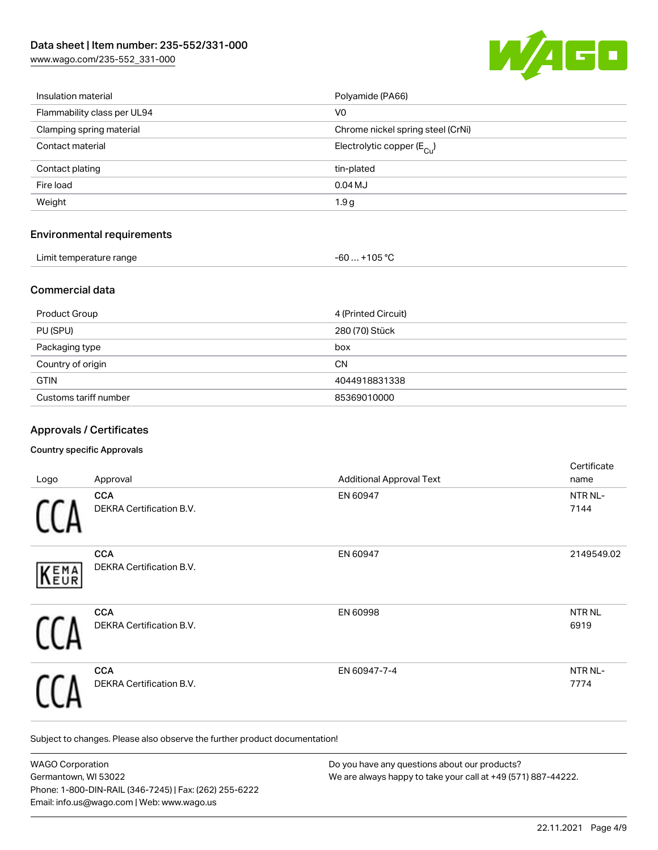[www.wago.com/235-552\\_331-000](http://www.wago.com/235-552_331-000)



| Insulation material               | Polyamide (PA66)                      |
|-----------------------------------|---------------------------------------|
| Flammability class per UL94       | V <sub>0</sub>                        |
| Clamping spring material          | Chrome nickel spring steel (CrNi)     |
| Contact material                  | Electrolytic copper $(E_{\text{Cl}})$ |
| Contact plating                   | tin-plated                            |
| Fire load                         | $0.04$ MJ                             |
| Weight                            | 1.9 <sub>g</sub>                      |
| <b>Environmental requirements</b> |                                       |
| Limit temperature range           | $-60+105 °C$                          |

## Commercial data

| Product Group         | 4 (Printed Circuit) |
|-----------------------|---------------------|
| PU (SPU)              | 280 (70) Stück      |
| Packaging type        | box                 |
| Country of origin     | CΝ                  |
| <b>GTIN</b>           | 4044918831338       |
| Customs tariff number | 85369010000         |

### Approvals / Certificates

#### Country specific Approvals

| Logo        | Approval                                      | <b>Additional Approval Text</b> | Certificate<br>name       |
|-------------|-----------------------------------------------|---------------------------------|---------------------------|
|             | <b>CCA</b><br><b>DEKRA Certification B.V.</b> | EN 60947                        | NTR NL-<br>7144           |
| <b>KEMA</b> | <b>CCA</b><br>DEKRA Certification B.V.        | EN 60947                        | 2149549.02                |
|             | <b>CCA</b><br>DEKRA Certification B.V.        | EN 60998                        | NTR <sub>NL</sub><br>6919 |
|             | <b>CCA</b><br>DEKRA Certification B.V.        | EN 60947-7-4                    | NTR NL-<br>7774           |

Subject to changes. Please also observe the further product documentation!

| <b>WAGO Corporation</b>                                | Do you have any questions about our products?                 |
|--------------------------------------------------------|---------------------------------------------------------------|
| Germantown, WI 53022                                   | We are always happy to take your call at +49 (571) 887-44222. |
| Phone: 1-800-DIN-RAIL (346-7245)   Fax: (262) 255-6222 |                                                               |
| Email: info.us@wago.com   Web: www.wago.us             |                                                               |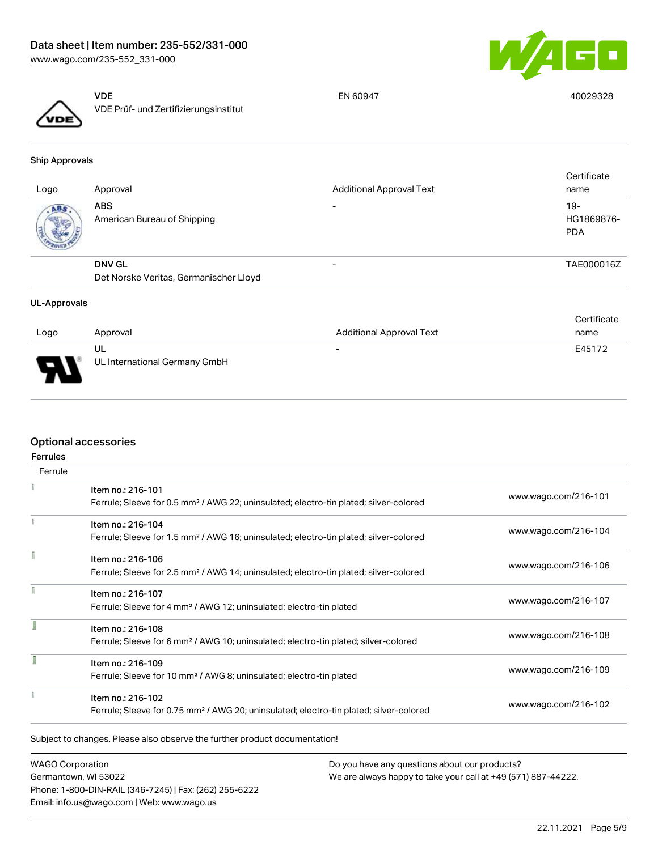



VDE VDE Prüf- und Zertifizierungsinstitut

EN 60947 40029328

#### Ship Approvals

| Logo | Approval                                  | <b>Additional Approval Text</b> | Certificate<br>name               |
|------|-------------------------------------------|---------------------------------|-----------------------------------|
| ABS  | <b>ABS</b><br>American Bureau of Shipping |                                 | $19-$<br>HG1869876-<br><b>PDA</b> |
|      | <b>DNV GL</b>                             | $\overline{\phantom{0}}$        | TAE000016Z                        |
|      | Det Norske Veritas, Germanischer Lloyd    |                                 |                                   |

#### UL-Approvals

|                       |                                     |                                 | Certificate |
|-----------------------|-------------------------------------|---------------------------------|-------------|
| Logo                  | Approval                            | <b>Additional Approval Text</b> | name        |
| $\blacksquare$<br>- 1 | UL<br>UL International Germany GmbH | $\overline{\phantom{a}}$        | E45172      |

## Optional accessories

| <b>Ferrules</b> |                                                                                                    |                      |
|-----------------|----------------------------------------------------------------------------------------------------|----------------------|
| Ferrule         |                                                                                                    |                      |
|                 | Item no.: 216-101                                                                                  |                      |
|                 | Ferrule; Sleeve for 0.5 mm <sup>2</sup> / AWG 22; uninsulated; electro-tin plated; silver-colored  | www.wago.com/216-101 |
|                 | Item no.: 216-104                                                                                  | www.wago.com/216-104 |
|                 | Ferrule; Sleeve for 1.5 mm <sup>2</sup> / AWG 16; uninsulated; electro-tin plated; silver-colored  |                      |
|                 | Item no.: 216-106                                                                                  |                      |
|                 | Ferrule; Sleeve for 2.5 mm <sup>2</sup> / AWG 14; uninsulated; electro-tin plated; silver-colored  | www.wago.com/216-106 |
|                 | Item no.: 216-107                                                                                  |                      |
|                 | Ferrule; Sleeve for 4 mm <sup>2</sup> / AWG 12; uninsulated; electro-tin plated                    | www.wago.com/216-107 |
|                 | Item no.: 216-108                                                                                  |                      |
|                 | Ferrule; Sleeve for 6 mm <sup>2</sup> / AWG 10; uninsulated; electro-tin plated; silver-colored    | www.wago.com/216-108 |
|                 | Item no.: 216-109                                                                                  |                      |
|                 | Ferrule; Sleeve for 10 mm <sup>2</sup> / AWG 8; uninsulated; electro-tin plated                    | www.wago.com/216-109 |
|                 | Item no.: 216-102                                                                                  |                      |
|                 | Ferrule; Sleeve for 0.75 mm <sup>2</sup> / AWG 20; uninsulated; electro-tin plated; silver-colored | www.wago.com/216-102 |

WAGO Corporation Germantown, WI 53022 Phone: 1-800-DIN-RAIL (346-7245) | Fax: (262) 255-6222 Email: info.us@wago.com | Web: www.wago.us

Do you have any questions about our products? We are always happy to take your call at +49 (571) 887-44222.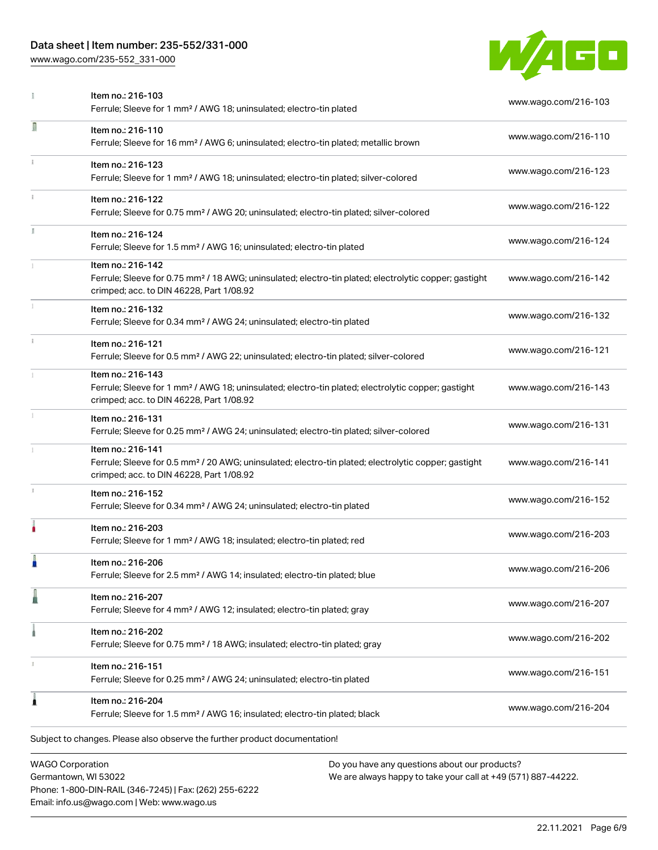Phone: 1-800-DIN-RAIL (346-7245) | Fax: (262) 255-6222

Email: info.us@wago.com | Web: www.wago.us

[www.wago.com/235-552\\_331-000](http://www.wago.com/235-552_331-000)



|    | Item no.: 216-103<br>Ferrule; Sleeve for 1 mm <sup>2</sup> / AWG 18; uninsulated; electro-tin plated                                                                               |                                                                                                                | www.wago.com/216-103 |
|----|------------------------------------------------------------------------------------------------------------------------------------------------------------------------------------|----------------------------------------------------------------------------------------------------------------|----------------------|
| Π  | Item no.: 216-110<br>Ferrule; Sleeve for 16 mm <sup>2</sup> / AWG 6; uninsulated; electro-tin plated; metallic brown                                                               |                                                                                                                | www.wago.com/216-110 |
|    | Item no.: 216-123<br>Ferrule; Sleeve for 1 mm <sup>2</sup> / AWG 18; uninsulated; electro-tin plated; silver-colored                                                               |                                                                                                                | www.wago.com/216-123 |
| i. | Item no.: 216-122<br>Ferrule; Sleeve for 0.75 mm <sup>2</sup> / AWG 20; uninsulated; electro-tin plated; silver-colored                                                            |                                                                                                                | www.wago.com/216-122 |
|    | Item no.: 216-124<br>Ferrule; Sleeve for 1.5 mm <sup>2</sup> / AWG 16; uninsulated; electro-tin plated                                                                             |                                                                                                                | www.wago.com/216-124 |
|    | Item no.: 216-142<br>Ferrule; Sleeve for 0.75 mm <sup>2</sup> / 18 AWG; uninsulated; electro-tin plated; electrolytic copper; gastight<br>crimped; acc. to DIN 46228, Part 1/08.92 |                                                                                                                | www.wago.com/216-142 |
|    | Item no.: 216-132<br>Ferrule; Sleeve for 0.34 mm <sup>2</sup> / AWG 24; uninsulated; electro-tin plated                                                                            |                                                                                                                | www.wago.com/216-132 |
|    | Item no.: 216-121<br>Ferrule; Sleeve for 0.5 mm <sup>2</sup> / AWG 22; uninsulated; electro-tin plated; silver-colored                                                             |                                                                                                                | www.wago.com/216-121 |
|    | Item no.: 216-143<br>Ferrule; Sleeve for 1 mm <sup>2</sup> / AWG 18; uninsulated; electro-tin plated; electrolytic copper; gastight<br>crimped; acc. to DIN 46228, Part 1/08.92    |                                                                                                                | www.wago.com/216-143 |
| I. | Item no.: 216-131<br>Ferrule; Sleeve for 0.25 mm <sup>2</sup> / AWG 24; uninsulated; electro-tin plated; silver-colored                                                            |                                                                                                                | www.wago.com/216-131 |
|    | Item no.: 216-141<br>Ferrule; Sleeve for 0.5 mm <sup>2</sup> / 20 AWG; uninsulated; electro-tin plated; electrolytic copper; gastight<br>crimped; acc. to DIN 46228, Part 1/08.92  |                                                                                                                | www.wago.com/216-141 |
|    | Item no.: 216-152<br>Ferrule; Sleeve for 0.34 mm <sup>2</sup> / AWG 24; uninsulated; electro-tin plated                                                                            |                                                                                                                | www.wago.com/216-152 |
|    | Item no.: 216-203<br>Ferrule; Sleeve for 1 mm <sup>2</sup> / AWG 18; insulated; electro-tin plated; red                                                                            |                                                                                                                | www.wago.com/216-203 |
|    | Item no.: 216-206<br>Ferrule; Sleeve for 2.5 mm <sup>2</sup> / AWG 14; insulated; electro-tin plated; blue                                                                         |                                                                                                                | www.wago.com/216-206 |
|    | Item no.: 216-207<br>Ferrule; Sleeve for 4 mm <sup>2</sup> / AWG 12; insulated; electro-tin plated; gray                                                                           |                                                                                                                | www.wago.com/216-207 |
|    | Item no.: 216-202<br>Ferrule; Sleeve for 0.75 mm <sup>2</sup> / 18 AWG; insulated; electro-tin plated; gray                                                                        |                                                                                                                | www.wago.com/216-202 |
|    | Item no.: 216-151<br>Ferrule; Sleeve for 0.25 mm <sup>2</sup> / AWG 24; uninsulated; electro-tin plated                                                                            |                                                                                                                | www.wago.com/216-151 |
|    | Item no.: 216-204<br>Ferrule; Sleeve for 1.5 mm <sup>2</sup> / AWG 16; insulated; electro-tin plated; black                                                                        |                                                                                                                | www.wago.com/216-204 |
|    | Subject to changes. Please also observe the further product documentation!                                                                                                         |                                                                                                                |                      |
|    | <b>WAGO Corporation</b><br>Germantown, WI 53022                                                                                                                                    | Do you have any questions about our products?<br>We are always happy to take your call at +49 (571) 887-44222. |                      |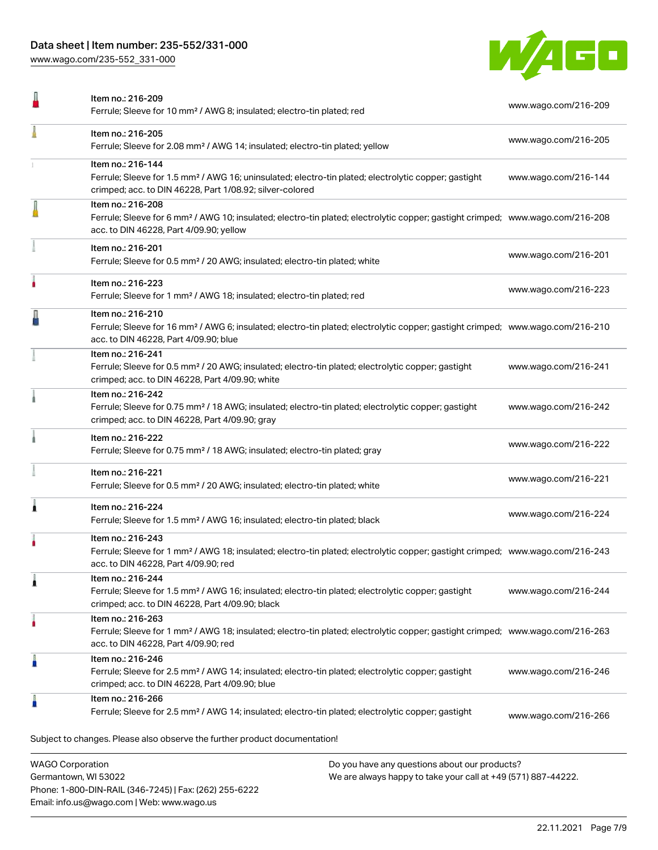Phone: 1-800-DIN-RAIL (346-7245) | Fax: (262) 255-6222

Email: info.us@wago.com | Web: www.wago.us

[www.wago.com/235-552\\_331-000](http://www.wago.com/235-552_331-000)



|                         | Item no.: 216-209<br>Ferrule; Sleeve for 10 mm <sup>2</sup> / AWG 8; insulated; electro-tin plated; red                                                                                                    |                                                                                                                | www.wago.com/216-209 |
|-------------------------|------------------------------------------------------------------------------------------------------------------------------------------------------------------------------------------------------------|----------------------------------------------------------------------------------------------------------------|----------------------|
|                         | Item no.: 216-205<br>Ferrule; Sleeve for 2.08 mm <sup>2</sup> / AWG 14; insulated; electro-tin plated; yellow                                                                                              |                                                                                                                | www.wago.com/216-205 |
|                         | Item no.: 216-144<br>Ferrule; Sleeve for 1.5 mm <sup>2</sup> / AWG 16; uninsulated; electro-tin plated; electrolytic copper; gastight<br>crimped; acc. to DIN 46228, Part 1/08.92; silver-colored          |                                                                                                                | www.wago.com/216-144 |
|                         | Item no.: 216-208<br>Ferrule; Sleeve for 6 mm <sup>2</sup> / AWG 10; insulated; electro-tin plated; electrolytic copper; gastight crimped; www.wago.com/216-208<br>acc. to DIN 46228, Part 4/09.90; yellow |                                                                                                                |                      |
|                         | Item no.: 216-201<br>Ferrule; Sleeve for 0.5 mm <sup>2</sup> / 20 AWG; insulated; electro-tin plated; white                                                                                                |                                                                                                                | www.wago.com/216-201 |
|                         | Item no.: 216-223<br>Ferrule; Sleeve for 1 mm <sup>2</sup> / AWG 18; insulated; electro-tin plated; red                                                                                                    |                                                                                                                | www.wago.com/216-223 |
|                         | Item no.: 216-210<br>Ferrule; Sleeve for 16 mm <sup>2</sup> / AWG 6; insulated; electro-tin plated; electrolytic copper; gastight crimped; www.wago.com/216-210<br>acc. to DIN 46228, Part 4/09.90; blue   |                                                                                                                |                      |
|                         | Item no.: 216-241<br>Ferrule; Sleeve for 0.5 mm <sup>2</sup> / 20 AWG; insulated; electro-tin plated; electrolytic copper; gastight<br>crimped; acc. to DIN 46228, Part 4/09.90; white                     |                                                                                                                | www.wago.com/216-241 |
|                         | Item no.: 216-242<br>Ferrule; Sleeve for 0.75 mm <sup>2</sup> / 18 AWG; insulated; electro-tin plated; electrolytic copper; gastight<br>crimped; acc. to DIN 46228, Part 4/09.90; gray                     |                                                                                                                | www.wago.com/216-242 |
|                         | Item no.: 216-222<br>Ferrule; Sleeve for 0.75 mm <sup>2</sup> / 18 AWG; insulated; electro-tin plated; gray                                                                                                |                                                                                                                | www.wago.com/216-222 |
|                         | Item no.: 216-221<br>Ferrule; Sleeve for 0.5 mm <sup>2</sup> / 20 AWG; insulated; electro-tin plated; white                                                                                                |                                                                                                                | www.wago.com/216-221 |
|                         | Item no.: 216-224<br>Ferrule; Sleeve for 1.5 mm <sup>2</sup> / AWG 16; insulated; electro-tin plated; black                                                                                                |                                                                                                                | www.wago.com/216-224 |
|                         | Item no.: 216-243<br>Ferrule; Sleeve for 1 mm <sup>2</sup> / AWG 18; insulated; electro-tin plated; electrolytic copper; gastight crimped; www.wago.com/216-243<br>acc. to DIN 46228, Part 4/09.90; red    |                                                                                                                |                      |
|                         | Item no.: 216-244<br>Ferrule; Sleeve for 1.5 mm <sup>2</sup> / AWG 16; insulated; electro-tin plated; electrolytic copper; gastight<br>crimped; acc. to DIN 46228, Part 4/09.90; black                     |                                                                                                                | www.wago.com/216-244 |
| ٠                       | Item no.: 216-263<br>Ferrule; Sleeve for 1 mm <sup>2</sup> / AWG 18; insulated; electro-tin plated; electrolytic copper; gastight crimped; www.wago.com/216-263<br>acc. to DIN 46228, Part 4/09.90; red    |                                                                                                                |                      |
|                         | Item no.: 216-246<br>Ferrule; Sleeve for 2.5 mm <sup>2</sup> / AWG 14; insulated; electro-tin plated; electrolytic copper; gastight<br>crimped; acc. to DIN 46228, Part 4/09.90; blue                      |                                                                                                                | www.wago.com/216-246 |
| Å                       | Item no.: 216-266<br>Ferrule; Sleeve for 2.5 mm <sup>2</sup> / AWG 14; insulated; electro-tin plated; electrolytic copper; gastight                                                                        |                                                                                                                | www.wago.com/216-266 |
|                         | Subject to changes. Please also observe the further product documentation!                                                                                                                                 |                                                                                                                |                      |
| <b>WAGO Corporation</b> | Germantown, WI 53022                                                                                                                                                                                       | Do you have any questions about our products?<br>We are always happy to take your call at +49 (571) 887-44222. |                      |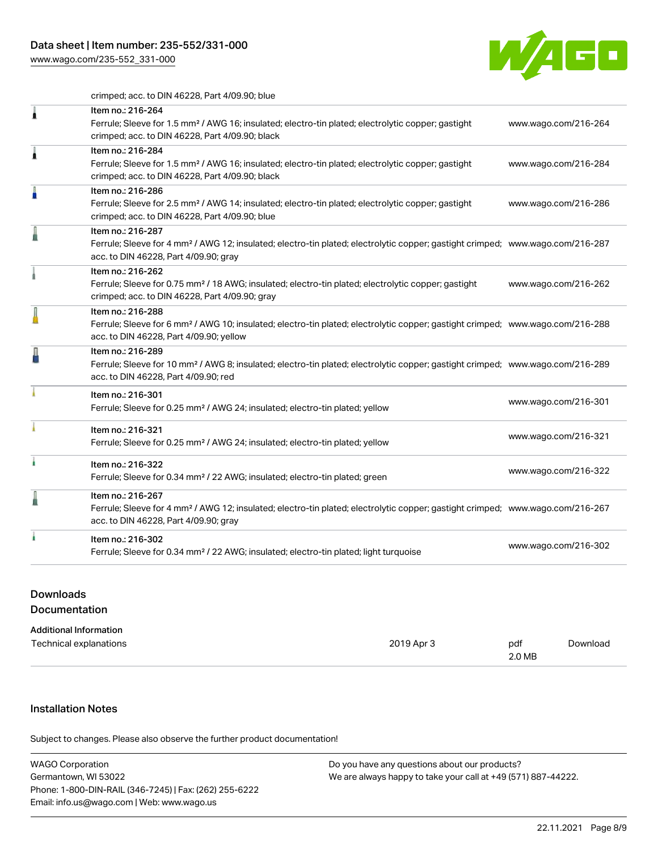[www.wago.com/235-552\\_331-000](http://www.wago.com/235-552_331-000)



crimped; acc. to DIN 46228, Part 4/09.90; blue

| 1 | Item no.: 216-264<br>Ferrule; Sleeve for 1.5 mm <sup>2</sup> / AWG 16; insulated; electro-tin plated; electrolytic copper; gastight<br>crimped; acc. to DIN 46228, Part 4/09.90; black                     | www.wago.com/216-264 |
|---|------------------------------------------------------------------------------------------------------------------------------------------------------------------------------------------------------------|----------------------|
| Â | Item no.: 216-284<br>Ferrule; Sleeve for 1.5 mm <sup>2</sup> / AWG 16; insulated; electro-tin plated; electrolytic copper; gastight<br>crimped; acc. to DIN 46228, Part 4/09.90; black                     | www.wago.com/216-284 |
| A | Item no.: 216-286<br>Ferrule; Sleeve for 2.5 mm <sup>2</sup> / AWG 14; insulated; electro-tin plated; electrolytic copper; gastight<br>crimped; acc. to DIN 46228, Part 4/09.90; blue                      | www.wago.com/216-286 |
|   | Item no.: 216-287<br>Ferrule; Sleeve for 4 mm <sup>2</sup> / AWG 12; insulated; electro-tin plated; electrolytic copper; gastight crimped; www.wago.com/216-287<br>acc. to DIN 46228, Part 4/09.90; gray   |                      |
|   | Item no.: 216-262<br>Ferrule; Sleeve for 0.75 mm <sup>2</sup> / 18 AWG; insulated; electro-tin plated; electrolytic copper; gastight<br>crimped; acc. to DIN 46228, Part 4/09.90; gray                     | www.wago.com/216-262 |
|   | Item no.: 216-288<br>Ferrule; Sleeve for 6 mm <sup>2</sup> / AWG 10; insulated; electro-tin plated; electrolytic copper; gastight crimped; www.wago.com/216-288<br>acc. to DIN 46228, Part 4/09.90; yellow |                      |
|   | Item no.: 216-289<br>Ferrule; Sleeve for 10 mm <sup>2</sup> / AWG 8; insulated; electro-tin plated; electrolytic copper; gastight crimped; www.wago.com/216-289<br>acc. to DIN 46228, Part 4/09.90; red    |                      |
|   | Item no.: 216-301<br>Ferrule; Sleeve for 0.25 mm <sup>2</sup> / AWG 24; insulated; electro-tin plated; yellow                                                                                              | www.wago.com/216-301 |
|   | Item no.: 216-321<br>Ferrule; Sleeve for 0.25 mm <sup>2</sup> / AWG 24; insulated; electro-tin plated; yellow                                                                                              | www.wago.com/216-321 |
|   | Item no.: 216-322<br>Ferrule; Sleeve for 0.34 mm <sup>2</sup> / 22 AWG; insulated; electro-tin plated; green                                                                                               | www.wago.com/216-322 |
|   | Item no.: 216-267<br>Ferrule; Sleeve for 4 mm <sup>2</sup> / AWG 12; insulated; electro-tin plated; electrolytic copper; gastight crimped; www.wago.com/216-267<br>acc. to DIN 46228, Part 4/09.90; gray   |                      |
|   | Item no.: 216-302<br>Ferrule; Sleeve for 0.34 mm <sup>2</sup> / 22 AWG; insulated; electro-tin plated; light turquoise                                                                                     | www.wago.com/216-302 |

# Downloads Documentation

| <b>Additional Information</b> |            |        |          |
|-------------------------------|------------|--------|----------|
| Technical explanations        | 2019 Apr 3 | pdf    | Download |
|                               |            | 2.0 MB |          |

## Installation Notes

.<br>Subject to changes. Please also observe the further product documentation!

| <b>WAGO Corporation</b>                                | Do you have any questions about our products?                 |
|--------------------------------------------------------|---------------------------------------------------------------|
| Germantown, WI 53022                                   | We are always happy to take your call at +49 (571) 887-44222. |
| Phone: 1-800-DIN-RAIL (346-7245)   Fax: (262) 255-6222 |                                                               |
| Email: info.us@wago.com   Web: www.wago.us             |                                                               |